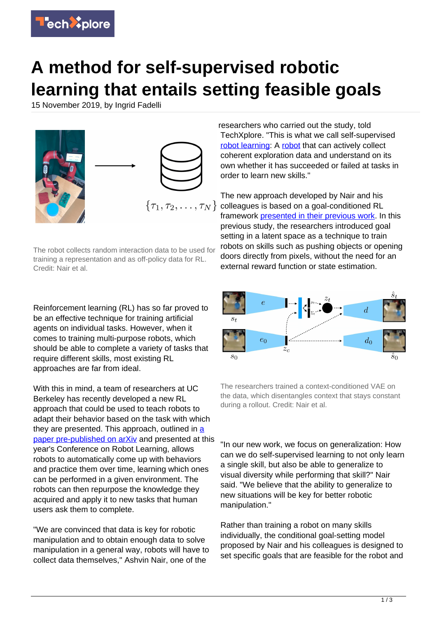

## **A method for self-supervised robotic learning that entails setting feasible goals**

15 November 2019, by Ingrid Fadelli



The robot collects random interaction data to be used for training a representation and as off-policy data for RL. Credit: Nair et al.

Reinforcement learning (RL) has so far proved to be an effective technique for training artificial agents on individual tasks. However, when it comes to training multi-purpose robots, which should be able to complete a variety of tasks that require different skills, most existing RL approaches are far from ideal.

With this in mind, a team of researchers at UC Berkeley has recently developed a new RL approach that could be used to teach robots to adapt their behavior based on the task with which they are presented. This approach, outlined in [a](https://arxiv.org/abs/1910.11670) [paper pre-published on arXiv](https://arxiv.org/abs/1910.11670) and presented at this year's Conference on Robot Learning, allows robots to automatically come up with behaviors and practice them over time, learning which ones can be performed in a given environment. The robots can then repurpose the knowledge they acquired and apply it to new tasks that human users ask them to complete.

"We are convinced that data is key for robotic manipulation and to obtain enough data to solve manipulation in a general way, robots will have to collect data themselves," Ashvin Nair, one of the

researchers who carried out the study, told TechXplore. "This is what we call self-supervised [robot learning:](https://techxplore.com/tags/robot+learning/) A [robot](https://techxplore.com/tags/robot/) that can actively collect coherent exploration data and understand on its own whether it has succeeded or failed at tasks in order to learn new skills."

The new approach developed by Nair and his colleagues is based on a goal-conditioned RL framework [presented in their previous work.](https://arxiv.org/abs/1807.04742) In this previous study, the researchers introduced goal setting in a latent space as a technique to train robots on skills such as pushing objects or opening doors directly from pixels, without the need for an external reward function or state estimation.



The researchers trained a context-conditioned VAE on the data, which disentangles context that stays constant during a rollout. Credit: Nair et al.

"In our new work, we focus on generalization: How can we do self-supervised learning to not only learn a single skill, but also be able to generalize to visual diversity while performing that skill?" Nair said. "We believe that the ability to generalize to new situations will be key for better robotic manipulation."

Rather than training a robot on many skills individually, the conditional goal-setting model proposed by Nair and his colleagues is designed to set specific goals that are feasible for the robot and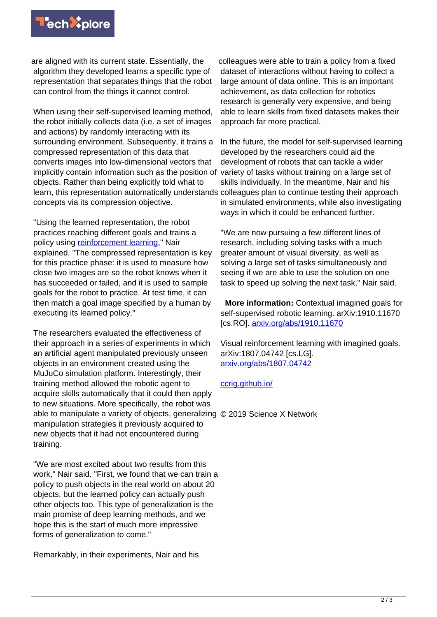

are aligned with its current state. Essentially, the algorithm they developed learns a specific type of representation that separates things that the robot can control from the things it cannot control.

When using their self-supervised learning method, the robot initially collects data (i.e. a set of images and actions) by randomly interacting with its surrounding environment. Subsequently, it trains a compressed representation of this data that converts images into low-dimensional vectors that implicitly contain information such as the position of objects. Rather than being explicitly told what to learn, this representation automatically understands colleagues plan to continue testing their approach concepts via its compression objective.

"Using the learned representation, the robot practices reaching different goals and trains a policy using [reinforcement learning](https://techxplore.com/tags/reinforcement+learning/)," Nair explained. "The compressed representation is key for this practice phase: it is used to measure how close two images are so the robot knows when it has succeeded or failed, and it is used to sample goals for the robot to practice. At test time, it can then match a goal image specified by a human by executing its learned policy."

The researchers evaluated the effectiveness of their approach in a series of experiments in which an artificial agent manipulated previously unseen objects in an environment created using the MuJuCo simulation platform. Interestingly, their training method allowed the robotic agent to acquire skills automatically that it could then apply to new situations. More specifically, the robot was able to manipulate a variety of objects, generalizing © 2019 Science X Network manipulation strategies it previously acquired to new objects that it had not encountered during training. [ccrig.github.io/](https://ccrig.github.io/)

"We are most excited about two results from this work," Nair said. "First, we found that we can train a policy to push objects in the real world on about 20 objects, but the learned policy can actually push other objects too. This type of generalization is the main promise of deep learning methods, and we hope this is the start of much more impressive forms of generalization to come."

Remarkably, in their experiments, Nair and his

colleagues were able to train a policy from a fixed dataset of interactions without having to collect a large amount of data online. This is an important achievement, as data collection for robotics research is generally very expensive, and being able to learn skills from fixed datasets makes their approach far more practical.

In the future, the model for self-supervised learning developed by the researchers could aid the development of robots that can tackle a wider variety of tasks without training on a large set of skills individually. In the meantime, Nair and his in simulated environments, while also investigating ways in which it could be enhanced further.

"We are now pursuing a few different lines of research, including solving tasks with a much greater amount of visual diversity, as well as solving a large set of tasks simultaneously and seeing if we are able to use the solution on one task to speed up solving the next task," Nair said.

 **More information:** Contextual imagined goals for self-supervised robotic learning. arXiv:1910.11670 [cs.RO]. [arxiv.org/abs/1910.11670](https://arxiv.org/abs/1910.11670)

Visual reinforcement learning with imagined goals. arXiv:1807.04742 [cs.LG]. [arxiv.org/abs/1807.04742](https://arxiv.org/abs/1807.04742)